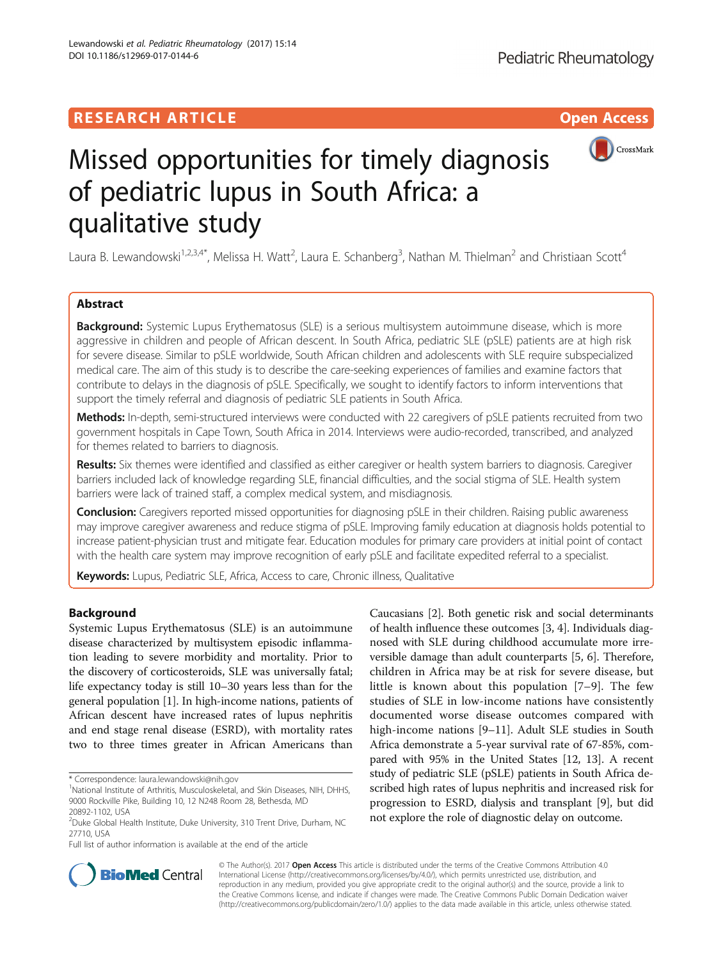# **RESEARCH ARTICLE Example 2018 12:00 Department of the Contract Open Access**





# Missed opportunities for timely diagnosis of pediatric lupus in South Africa: a qualitative study

Laura B. Lewandowski<sup>1,2,3,4\*</sup>, Melissa H. Watt<sup>2</sup>, Laura E. Schanberg<sup>3</sup>, Nathan M. Thielman<sup>2</sup> and Christiaan Scott<sup>4</sup>

# Abstract

**Background:** Systemic Lupus Erythematosus (SLE) is a serious multisystem autoimmune disease, which is more aggressive in children and people of African descent. In South Africa, pediatric SLE (pSLE) patients are at high risk for severe disease. Similar to pSLE worldwide, South African children and adolescents with SLE require subspecialized medical care. The aim of this study is to describe the care-seeking experiences of families and examine factors that contribute to delays in the diagnosis of pSLE. Specifically, we sought to identify factors to inform interventions that support the timely referral and diagnosis of pediatric SLE patients in South Africa.

Methods: In-depth, semi-structured interviews were conducted with 22 caregivers of pSLE patients recruited from two government hospitals in Cape Town, South Africa in 2014. Interviews were audio-recorded, transcribed, and analyzed for themes related to barriers to diagnosis.

Results: Six themes were identified and classified as either caregiver or health system barriers to diagnosis. Caregiver barriers included lack of knowledge regarding SLE, financial difficulties, and the social stigma of SLE. Health system barriers were lack of trained staff, a complex medical system, and misdiagnosis.

**Conclusion:** Caregivers reported missed opportunities for diagnosing pSLE in their children. Raising public awareness may improve caregiver awareness and reduce stigma of pSLE. Improving family education at diagnosis holds potential to increase patient-physician trust and mitigate fear. Education modules for primary care providers at initial point of contact with the health care system may improve recognition of early pSLE and facilitate expedited referral to a specialist.

Keywords: Lupus, Pediatric SLE, Africa, Access to care, Chronic illness, Qualitative

# Background

Systemic Lupus Erythematosus (SLE) is an autoimmune disease characterized by multisystem episodic inflammation leading to severe morbidity and mortality. Prior to the discovery of corticosteroids, SLE was universally fatal; life expectancy today is still 10–30 years less than for the general population [\[1](#page-7-0)]. In high-income nations, patients of African descent have increased rates of lupus nephritis and end stage renal disease (ESRD), with mortality rates two to three times greater in African Americans than

Full list of author information is available at the end of the article

Caucasians [[2](#page-7-0)]. Both genetic risk and social determinants of health influence these outcomes [[3, 4](#page-7-0)]. Individuals diagnosed with SLE during childhood accumulate more irreversible damage than adult counterparts [[5, 6\]](#page-7-0). Therefore, children in Africa may be at risk for severe disease, but little is known about this population [[7](#page-7-0)–[9](#page-7-0)]. The few studies of SLE in low-income nations have consistently documented worse disease outcomes compared with high-income nations [\[9](#page-7-0)–[11\]](#page-7-0). Adult SLE studies in South Africa demonstrate a 5-year survival rate of 67-85%, compared with 95% in the United States [[12](#page-7-0), [13](#page-7-0)]. A recent study of pediatric SLE (pSLE) patients in South Africa described high rates of lupus nephritis and increased risk for progression to ESRD, dialysis and transplant [[9\]](#page-7-0), but did not explore the role of diagnostic delay on outcome.



© The Author(s). 2017 **Open Access** This article is distributed under the terms of the Creative Commons Attribution 4.0 International License [\(http://creativecommons.org/licenses/by/4.0/](http://creativecommons.org/licenses/by/4.0/)), which permits unrestricted use, distribution, and reproduction in any medium, provided you give appropriate credit to the original author(s) and the source, provide a link to the Creative Commons license, and indicate if changes were made. The Creative Commons Public Domain Dedication waiver [\(http://creativecommons.org/publicdomain/zero/1.0/](http://creativecommons.org/publicdomain/zero/1.0/)) applies to the data made available in this article, unless otherwise stated.

<sup>\*</sup> Correspondence: [laura.lewandowski@nih.gov](mailto:laura.lewandowski@nih.gov) <sup>1</sup>

<sup>&</sup>lt;sup>1</sup>National Institute of Arthritis, Musculoskeletal, and Skin Diseases, NIH, DHHS, 9000 Rockville Pike, Building 10, 12 N248 Room 28, Bethesda, MD 20892-1102, USA

<sup>&</sup>lt;sup>2</sup>Duke Global Health Institute, Duke University, 310 Trent Drive, Durham, NC 27710, USA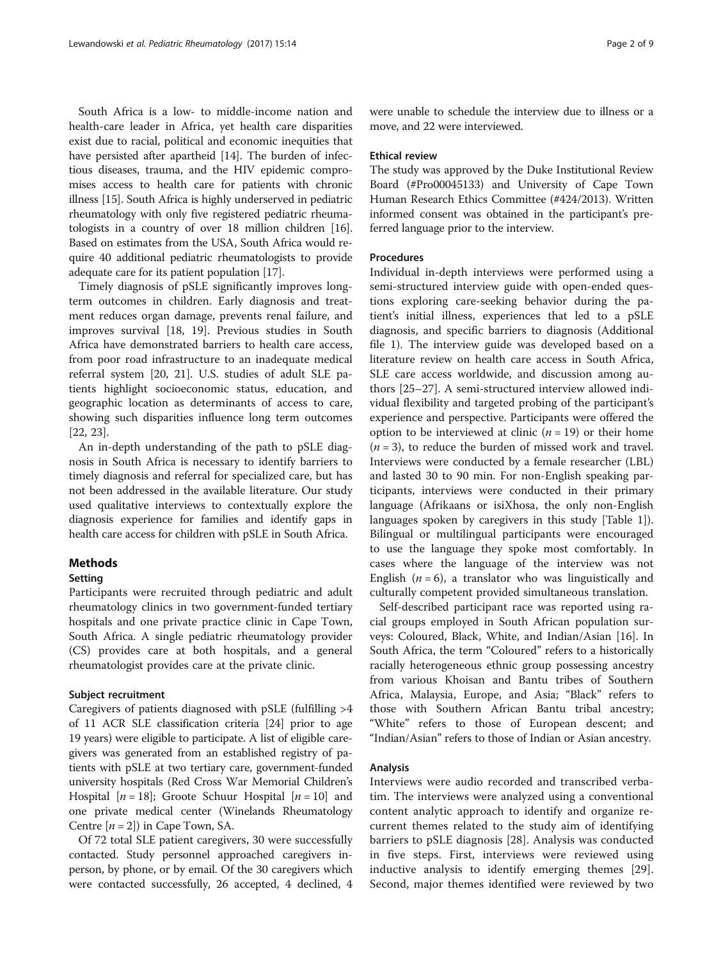South Africa is a low- to middle-income nation and health-care leader in Africa, yet health care disparities exist due to racial, political and economic inequities that have persisted after apartheid [[14](#page-7-0)]. The burden of infectious diseases, trauma, and the HIV epidemic compromises access to health care for patients with chronic illness [[15](#page-7-0)]. South Africa is highly underserved in pediatric rheumatology with only five registered pediatric rheumatologists in a country of over 18 million children [[16](#page-7-0)]. Based on estimates from the USA, South Africa would require 40 additional pediatric rheumatologists to provide adequate care for its patient population [[17](#page-7-0)].

Timely diagnosis of pSLE significantly improves longterm outcomes in children. Early diagnosis and treatment reduces organ damage, prevents renal failure, and improves survival [\[18, 19\]](#page-7-0). Previous studies in South Africa have demonstrated barriers to health care access, from poor road infrastructure to an inadequate medical referral system [[20, 21\]](#page-7-0). U.S. studies of adult SLE patients highlight socioeconomic status, education, and geographic location as determinants of access to care, showing such disparities influence long term outcomes [[22, 23\]](#page-8-0).

An in-depth understanding of the path to pSLE diagnosis in South Africa is necessary to identify barriers to timely diagnosis and referral for specialized care, but has not been addressed in the available literature. Our study used qualitative interviews to contextually explore the diagnosis experience for families and identify gaps in health care access for children with pSLE in South Africa.

# Methods

# Setting

Participants were recruited through pediatric and adult rheumatology clinics in two government-funded tertiary hospitals and one private practice clinic in Cape Town, South Africa. A single pediatric rheumatology provider (CS) provides care at both hospitals, and a general rheumatologist provides care at the private clinic.

# Subject recruitment

Caregivers of patients diagnosed with pSLE (fulfilling >4 of 11 ACR SLE classification criteria [\[24](#page-8-0)] prior to age 19 years) were eligible to participate. A list of eligible caregivers was generated from an established registry of patients with pSLE at two tertiary care, government-funded university hospitals (Red Cross War Memorial Children's Hospital  $[n = 18]$ ; Groote Schuur Hospital  $[n = 10]$  and one private medical center (Winelands Rheumatology Centre  $[n = 2]$ ) in Cape Town, SA.

Of 72 total SLE patient caregivers, 30 were successfully contacted. Study personnel approached caregivers inperson, by phone, or by email. Of the 30 caregivers which were contacted successfully, 26 accepted, 4 declined, 4 were unable to schedule the interview due to illness or a move, and 22 were interviewed.

#### Ethical review

The study was approved by the Duke Institutional Review Board (#Pro00045133) and University of Cape Town Human Research Ethics Committee (#424/2013). Written informed consent was obtained in the participant's preferred language prior to the interview.

#### **Procedures**

Individual in-depth interviews were performed using a semi-structured interview guide with open-ended questions exploring care-seeking behavior during the patient's initial illness, experiences that led to a pSLE diagnosis, and specific barriers to diagnosis (Additional file [1\)](#page-7-0). The interview guide was developed based on a literature review on health care access in South Africa, SLE care access worldwide, and discussion among authors [\[25](#page-8-0)–[27\]](#page-8-0). A semi-structured interview allowed individual flexibility and targeted probing of the participant's experience and perspective. Participants were offered the option to be interviewed at clinic  $(n = 19)$  or their home  $(n = 3)$ , to reduce the burden of missed work and travel. Interviews were conducted by a female researcher (LBL) and lasted 30 to 90 min. For non-English speaking participants, interviews were conducted in their primary language (Afrikaans or isiXhosa, the only non-English languages spoken by caregivers in this study [Table [1](#page-2-0)]). Bilingual or multilingual participants were encouraged to use the language they spoke most comfortably. In cases where the language of the interview was not English ( $n = 6$ ), a translator who was linguistically and culturally competent provided simultaneous translation.

Self-described participant race was reported using racial groups employed in South African population surveys: Coloured, Black, White, and Indian/Asian [[16\]](#page-7-0). In South Africa, the term "Coloured" refers to a historically racially heterogeneous ethnic group possessing ancestry from various Khoisan and Bantu tribes of Southern Africa, Malaysia, Europe, and Asia; "Black" refers to those with Southern African Bantu tribal ancestry; "White" refers to those of European descent; and "Indian/Asian" refers to those of Indian or Asian ancestry.

# Analysis

Interviews were audio recorded and transcribed verbatim. The interviews were analyzed using a conventional content analytic approach to identify and organize recurrent themes related to the study aim of identifying barriers to pSLE diagnosis [[28\]](#page-8-0). Analysis was conducted in five steps. First, interviews were reviewed using inductive analysis to identify emerging themes [\[29](#page-8-0)]. Second, major themes identified were reviewed by two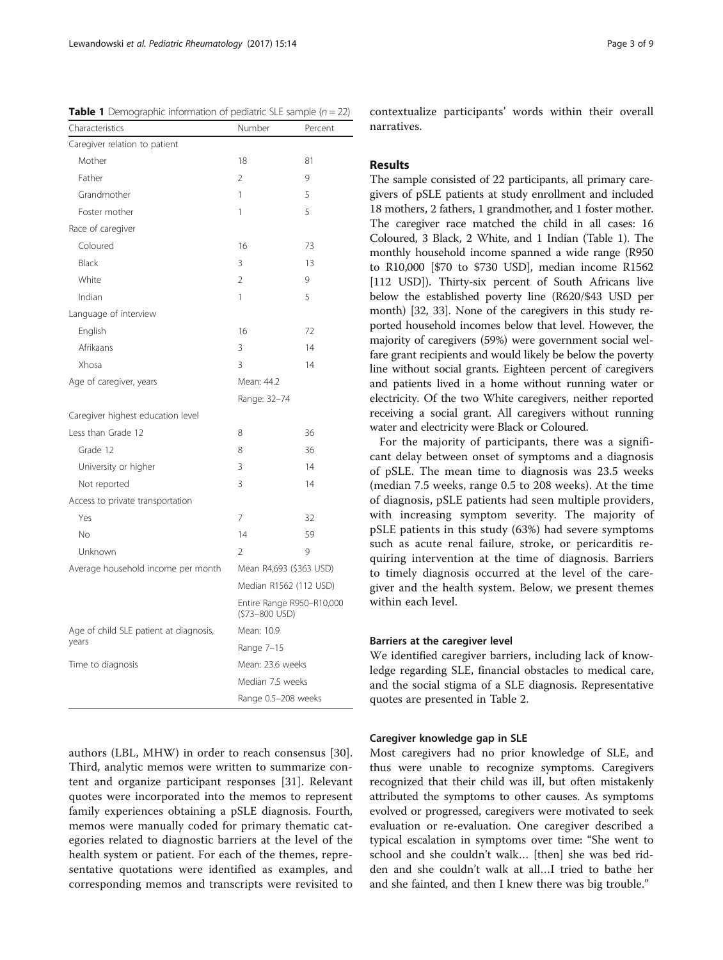<span id="page-2-0"></span>

| Characteristics<br>Number<br>Percent<br>Caregiver relation to patient<br>18<br>Mother<br>81<br>$\overline{2}$<br>9<br>Father<br>Grandmother<br>1<br>5<br>5<br>Foster mother<br>1<br>Race of caregiver<br>Coloured<br>16<br>73<br>3<br>Black<br>13<br>$\mathfrak{D}$<br>9<br>White<br>5<br>Indian<br>1<br>Language of interview<br>English<br>16<br>72<br>3<br>Afrikaans<br>14<br>Xhosa<br>3<br>14<br>Age of caregiver, years<br>Mean: 44.2<br>Range: 32-74<br>Caregiver highest education level<br>Less than Grade 12<br>8<br>36<br>Grade 12<br>8<br>36<br>3<br>University or higher<br>14<br>3<br>Not reported<br>14<br>Access to private transportation<br>7<br>32<br>Yes<br>14<br>59<br>Nο<br>2<br>9<br>Unknown<br>Average household income per month<br>Mean R4,693 (\$363 USD)<br>Median R1562 (112 USD)<br>Entire Range R950-R10,000<br>(\$73-800 USD)<br>Age of child SLE patient at diagnosis,<br>Mean: 10.9<br>years<br>Range 7-15<br>Time to diagnosis<br>Mean: 23.6 weeks<br>Median 7.5 weeks<br>Range 0.5-208 weeks | <b>Table 1</b> Demographic information of pediatric SLE sample ( $n = 22$ ) |  |  |  |
|---------------------------------------------------------------------------------------------------------------------------------------------------------------------------------------------------------------------------------------------------------------------------------------------------------------------------------------------------------------------------------------------------------------------------------------------------------------------------------------------------------------------------------------------------------------------------------------------------------------------------------------------------------------------------------------------------------------------------------------------------------------------------------------------------------------------------------------------------------------------------------------------------------------------------------------------------------------------------------------------------------------------------------|-----------------------------------------------------------------------------|--|--|--|
|                                                                                                                                                                                                                                                                                                                                                                                                                                                                                                                                                                                                                                                                                                                                                                                                                                                                                                                                                                                                                                 |                                                                             |  |  |  |
|                                                                                                                                                                                                                                                                                                                                                                                                                                                                                                                                                                                                                                                                                                                                                                                                                                                                                                                                                                                                                                 |                                                                             |  |  |  |
|                                                                                                                                                                                                                                                                                                                                                                                                                                                                                                                                                                                                                                                                                                                                                                                                                                                                                                                                                                                                                                 |                                                                             |  |  |  |
|                                                                                                                                                                                                                                                                                                                                                                                                                                                                                                                                                                                                                                                                                                                                                                                                                                                                                                                                                                                                                                 |                                                                             |  |  |  |
|                                                                                                                                                                                                                                                                                                                                                                                                                                                                                                                                                                                                                                                                                                                                                                                                                                                                                                                                                                                                                                 |                                                                             |  |  |  |
|                                                                                                                                                                                                                                                                                                                                                                                                                                                                                                                                                                                                                                                                                                                                                                                                                                                                                                                                                                                                                                 |                                                                             |  |  |  |
|                                                                                                                                                                                                                                                                                                                                                                                                                                                                                                                                                                                                                                                                                                                                                                                                                                                                                                                                                                                                                                 |                                                                             |  |  |  |
|                                                                                                                                                                                                                                                                                                                                                                                                                                                                                                                                                                                                                                                                                                                                                                                                                                                                                                                                                                                                                                 |                                                                             |  |  |  |
|                                                                                                                                                                                                                                                                                                                                                                                                                                                                                                                                                                                                                                                                                                                                                                                                                                                                                                                                                                                                                                 |                                                                             |  |  |  |
|                                                                                                                                                                                                                                                                                                                                                                                                                                                                                                                                                                                                                                                                                                                                                                                                                                                                                                                                                                                                                                 |                                                                             |  |  |  |
|                                                                                                                                                                                                                                                                                                                                                                                                                                                                                                                                                                                                                                                                                                                                                                                                                                                                                                                                                                                                                                 |                                                                             |  |  |  |
|                                                                                                                                                                                                                                                                                                                                                                                                                                                                                                                                                                                                                                                                                                                                                                                                                                                                                                                                                                                                                                 |                                                                             |  |  |  |
|                                                                                                                                                                                                                                                                                                                                                                                                                                                                                                                                                                                                                                                                                                                                                                                                                                                                                                                                                                                                                                 |                                                                             |  |  |  |
|                                                                                                                                                                                                                                                                                                                                                                                                                                                                                                                                                                                                                                                                                                                                                                                                                                                                                                                                                                                                                                 |                                                                             |  |  |  |
|                                                                                                                                                                                                                                                                                                                                                                                                                                                                                                                                                                                                                                                                                                                                                                                                                                                                                                                                                                                                                                 |                                                                             |  |  |  |
|                                                                                                                                                                                                                                                                                                                                                                                                                                                                                                                                                                                                                                                                                                                                                                                                                                                                                                                                                                                                                                 |                                                                             |  |  |  |
|                                                                                                                                                                                                                                                                                                                                                                                                                                                                                                                                                                                                                                                                                                                                                                                                                                                                                                                                                                                                                                 |                                                                             |  |  |  |
|                                                                                                                                                                                                                                                                                                                                                                                                                                                                                                                                                                                                                                                                                                                                                                                                                                                                                                                                                                                                                                 |                                                                             |  |  |  |
|                                                                                                                                                                                                                                                                                                                                                                                                                                                                                                                                                                                                                                                                                                                                                                                                                                                                                                                                                                                                                                 |                                                                             |  |  |  |
|                                                                                                                                                                                                                                                                                                                                                                                                                                                                                                                                                                                                                                                                                                                                                                                                                                                                                                                                                                                                                                 |                                                                             |  |  |  |
|                                                                                                                                                                                                                                                                                                                                                                                                                                                                                                                                                                                                                                                                                                                                                                                                                                                                                                                                                                                                                                 |                                                                             |  |  |  |
|                                                                                                                                                                                                                                                                                                                                                                                                                                                                                                                                                                                                                                                                                                                                                                                                                                                                                                                                                                                                                                 |                                                                             |  |  |  |
|                                                                                                                                                                                                                                                                                                                                                                                                                                                                                                                                                                                                                                                                                                                                                                                                                                                                                                                                                                                                                                 |                                                                             |  |  |  |
|                                                                                                                                                                                                                                                                                                                                                                                                                                                                                                                                                                                                                                                                                                                                                                                                                                                                                                                                                                                                                                 |                                                                             |  |  |  |
|                                                                                                                                                                                                                                                                                                                                                                                                                                                                                                                                                                                                                                                                                                                                                                                                                                                                                                                                                                                                                                 |                                                                             |  |  |  |
|                                                                                                                                                                                                                                                                                                                                                                                                                                                                                                                                                                                                                                                                                                                                                                                                                                                                                                                                                                                                                                 |                                                                             |  |  |  |
|                                                                                                                                                                                                                                                                                                                                                                                                                                                                                                                                                                                                                                                                                                                                                                                                                                                                                                                                                                                                                                 |                                                                             |  |  |  |
|                                                                                                                                                                                                                                                                                                                                                                                                                                                                                                                                                                                                                                                                                                                                                                                                                                                                                                                                                                                                                                 |                                                                             |  |  |  |
|                                                                                                                                                                                                                                                                                                                                                                                                                                                                                                                                                                                                                                                                                                                                                                                                                                                                                                                                                                                                                                 |                                                                             |  |  |  |
|                                                                                                                                                                                                                                                                                                                                                                                                                                                                                                                                                                                                                                                                                                                                                                                                                                                                                                                                                                                                                                 |                                                                             |  |  |  |
|                                                                                                                                                                                                                                                                                                                                                                                                                                                                                                                                                                                                                                                                                                                                                                                                                                                                                                                                                                                                                                 |                                                                             |  |  |  |
|                                                                                                                                                                                                                                                                                                                                                                                                                                                                                                                                                                                                                                                                                                                                                                                                                                                                                                                                                                                                                                 |                                                                             |  |  |  |
|                                                                                                                                                                                                                                                                                                                                                                                                                                                                                                                                                                                                                                                                                                                                                                                                                                                                                                                                                                                                                                 |                                                                             |  |  |  |
|                                                                                                                                                                                                                                                                                                                                                                                                                                                                                                                                                                                                                                                                                                                                                                                                                                                                                                                                                                                                                                 |                                                                             |  |  |  |

Third, analytic memos were written to summarize content and organize participant responses [[31\]](#page-8-0). Relevant quotes were incorporated into the memos to represent family experiences obtaining a pSLE diagnosis. Fourth, memos were manually coded for primary thematic categories related to diagnostic barriers at the level of the health system or patient. For each of the themes, representative quotations were identified as examples, and corresponding memos and transcripts were revisited to

authors (LBL, MHW) in order to reach consensus [\[30](#page-8-0)].

contextualize participants' words within their overall narratives.

# Results

The sample consisted of 22 participants, all primary caregivers of pSLE patients at study enrollment and included 18 mothers, 2 fathers, 1 grandmother, and 1 foster mother. The caregiver race matched the child in all cases: 16 Coloured, 3 Black, 2 White, and 1 Indian (Table 1). The monthly household income spanned a wide range (R950 to R10,000 [\$70 to \$730 USD], median income R1562 [112 USD]). Thirty-six percent of South Africans live below the established poverty line (R620/\$43 USD per month) [\[32, 33](#page-8-0)]. None of the caregivers in this study reported household incomes below that level. However, the majority of caregivers (59%) were government social welfare grant recipients and would likely be below the poverty line without social grants. Eighteen percent of caregivers and patients lived in a home without running water or electricity. Of the two White caregivers, neither reported receiving a social grant. All caregivers without running water and electricity were Black or Coloured.

For the majority of participants, there was a significant delay between onset of symptoms and a diagnosis of pSLE. The mean time to diagnosis was 23.5 weeks (median 7.5 weeks, range 0.5 to 208 weeks). At the time of diagnosis, pSLE patients had seen multiple providers, with increasing symptom severity. The majority of pSLE patients in this study (63%) had severe symptoms such as acute renal failure, stroke, or pericarditis requiring intervention at the time of diagnosis. Barriers to timely diagnosis occurred at the level of the caregiver and the health system. Below, we present themes within each level.

# Barriers at the caregiver level

We identified caregiver barriers, including lack of knowledge regarding SLE, financial obstacles to medical care, and the social stigma of a SLE diagnosis. Representative quotes are presented in Table [2.](#page-3-0)

#### Caregiver knowledge gap in SLE

Most caregivers had no prior knowledge of SLE, and thus were unable to recognize symptoms. Caregivers recognized that their child was ill, but often mistakenly attributed the symptoms to other causes. As symptoms evolved or progressed, caregivers were motivated to seek evaluation or re-evaluation. One caregiver described a typical escalation in symptoms over time: "She went to school and she couldn't walk… [then] she was bed ridden and she couldn't walk at all…I tried to bathe her and she fainted, and then I knew there was big trouble."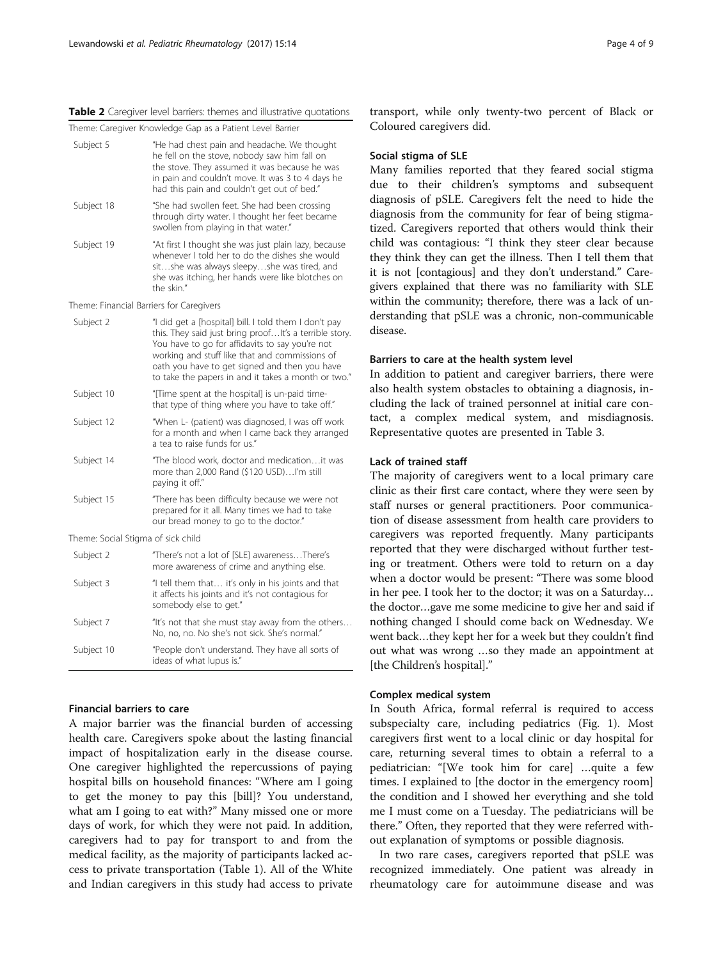<span id="page-3-0"></span>

| <b>Table 2</b> Caregiver level barriers: themes and illustrative quotations |  |
|-----------------------------------------------------------------------------|--|
|-----------------------------------------------------------------------------|--|

| Theme: Caregiver Knowledge Gap as a Patient Level Barrier |  |  |  |  |  |
|-----------------------------------------------------------|--|--|--|--|--|
|-----------------------------------------------------------|--|--|--|--|--|

| Subject 5                                | "He had chest pain and headache. We thought<br>he fell on the stove, nobody saw him fall on<br>the stove. They assumed it was because he was<br>in pain and couldn't move. It was 3 to 4 days he<br>had this pain and couldn't get out of bed."                                                                               |
|------------------------------------------|-------------------------------------------------------------------------------------------------------------------------------------------------------------------------------------------------------------------------------------------------------------------------------------------------------------------------------|
| Subject 18                               | "She had swollen feet. She had been crossing<br>through dirty water. I thought her feet became<br>swollen from playing in that water."                                                                                                                                                                                        |
| Subject 19                               | "At first I thought she was just plain lazy, because<br>whenever I told her to do the dishes she would<br>sitshe was always sleepyshe was tired, and<br>she was itching, her hands were like blotches on<br>the skin."                                                                                                        |
| Theme: Financial Barriers for Caregivers |                                                                                                                                                                                                                                                                                                                               |
| Subject 2                                | "I did get a [hospital] bill. I told them I don't pay<br>this. They said just bring proof It's a terrible story.<br>You have to go for affidavits to say you're not<br>working and stuff like that and commissions of<br>oath you have to get signed and then you have<br>to take the papers in and it takes a month or two." |
| Subject 10                               | "[Time spent at the hospital] is un-paid time-<br>that type of thing where you have to take off."                                                                                                                                                                                                                             |
| Subject 12                               | "When L- (patient) was diagnosed, I was off work<br>for a month and when I came back they arranged<br>a tea to raise funds for us."                                                                                                                                                                                           |
| Subject 14                               | "The blood work, doctor and medicationit was<br>more than 2,000 Rand (\$120 USD)I'm still<br>paying it off."                                                                                                                                                                                                                  |
| Subject 15                               | "There has been difficulty because we were not<br>prepared for it all. Many times we had to take<br>our bread money to go to the doctor."                                                                                                                                                                                     |
| Theme: Social Stigma of sick child       |                                                                                                                                                                                                                                                                                                                               |
| Subject 2                                | "There's not a lot of [SLE] awarenessThere's<br>more awareness of crime and anything else.                                                                                                                                                                                                                                    |
| Subject 3                                | "I tell them that it's only in his joints and that<br>it affects his joints and it's not contagious for<br>somebody else to get."                                                                                                                                                                                             |
| Subject 7                                | "It's not that she must stay away from the others<br>No, no, no. No she's not sick. She's normal."                                                                                                                                                                                                                            |
| Subject 10                               | "People don't understand. They have all sorts of<br>ideas of what lupus is."                                                                                                                                                                                                                                                  |
|                                          |                                                                                                                                                                                                                                                                                                                               |

# Financial barriers to care

A major barrier was the financial burden of accessing health care. Caregivers spoke about the lasting financial impact of hospitalization early in the disease course. One caregiver highlighted the repercussions of paying hospital bills on household finances: "Where am I going to get the money to pay this [bill]? You understand, what am I going to eat with?" Many missed one or more days of work, for which they were not paid. In addition, caregivers had to pay for transport to and from the medical facility, as the majority of participants lacked access to private transportation (Table [1\)](#page-2-0). All of the White and Indian caregivers in this study had access to private

#### Social stigma of SLE

Coloured caregivers did.

Many families reported that they feared social stigma due to their children's symptoms and subsequent diagnosis of pSLE. Caregivers felt the need to hide the diagnosis from the community for fear of being stigmatized. Caregivers reported that others would think their child was contagious: "I think they steer clear because they think they can get the illness. Then I tell them that it is not [contagious] and they don't understand." Caregivers explained that there was no familiarity with SLE within the community; therefore, there was a lack of understanding that pSLE was a chronic, non-communicable disease.

## Barriers to care at the health system level

In addition to patient and caregiver barriers, there were also health system obstacles to obtaining a diagnosis, including the lack of trained personnel at initial care contact, a complex medical system, and misdiagnosis. Representative quotes are presented in Table [3.](#page-4-0)

#### Lack of trained staff

The majority of caregivers went to a local primary care clinic as their first care contact, where they were seen by staff nurses or general practitioners. Poor communication of disease assessment from health care providers to caregivers was reported frequently. Many participants reported that they were discharged without further testing or treatment. Others were told to return on a day when a doctor would be present: "There was some blood in her pee. I took her to the doctor; it was on a Saturday… the doctor…gave me some medicine to give her and said if nothing changed I should come back on Wednesday. We went back…they kept her for a week but they couldn't find out what was wrong …so they made an appointment at [the Children's hospital]."

# Complex medical system

In South Africa, formal referral is required to access subspecialty care, including pediatrics (Fig. [1\)](#page-4-0). Most caregivers first went to a local clinic or day hospital for care, returning several times to obtain a referral to a pediatrician: "[We took him for care] …quite a few times. I explained to [the doctor in the emergency room] the condition and I showed her everything and she told me I must come on a Tuesday. The pediatricians will be there." Often, they reported that they were referred without explanation of symptoms or possible diagnosis.

In two rare cases, caregivers reported that pSLE was recognized immediately. One patient was already in rheumatology care for autoimmune disease and was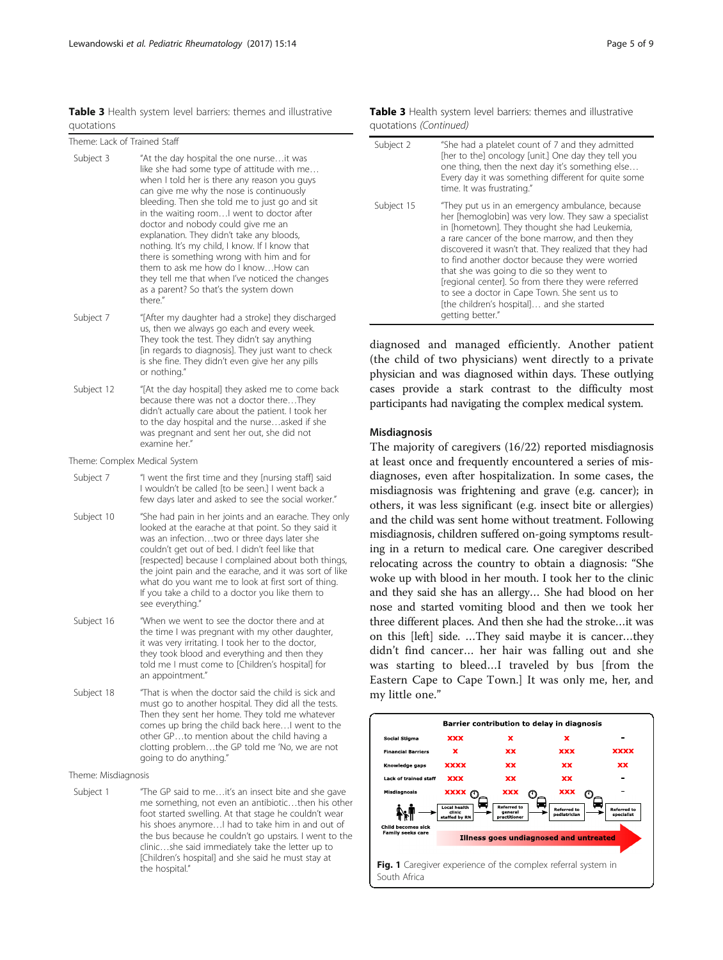<span id="page-4-0"></span>Table 3 Health system level barriers: themes and illustrative quotations

| --------                     |                                                                                                                                                                                                                                                                                                                                                                                                                                                                                                                                                                                                                   |
|------------------------------|-------------------------------------------------------------------------------------------------------------------------------------------------------------------------------------------------------------------------------------------------------------------------------------------------------------------------------------------------------------------------------------------------------------------------------------------------------------------------------------------------------------------------------------------------------------------------------------------------------------------|
| Theme: Lack of Trained Staff |                                                                                                                                                                                                                                                                                                                                                                                                                                                                                                                                                                                                                   |
| Subject 3                    | "At the day hospital the one nurseit was<br>like she had some type of attitude with me<br>when I told her is there any reason you guys<br>can give me why the nose is continuously<br>bleeding. Then she told me to just go and sit<br>in the waiting roomI went to doctor after<br>doctor and nobody could give me an<br>explanation. They didn't take any bloods,<br>nothing. It's my child, I know. If I know that<br>there is something wrong with him and for<br>them to ask me how do I knowHow can<br>they tell me that when I've noticed the changes<br>as a parent? So that's the system down<br>there." |
| Subject 7                    | "[After my daughter had a stroke] they discharged<br>us, then we always go each and every week.<br>They took the test. They didn't say anything<br>[in regards to diagnosis]. They just want to check<br>is she fine. They didn't even give her any pills<br>or nothing."                                                                                                                                                                                                                                                                                                                                         |
| Subject 12                   | "[At the day hospital] they asked me to come back<br>because there was not a doctor thereThey<br>didn't actually care about the patient. I took her<br>to the day hospital and the nurseasked if she<br>was pregnant and sent her out, she did not<br>examine her."                                                                                                                                                                                                                                                                                                                                               |
|                              | Theme: Complex Medical System                                                                                                                                                                                                                                                                                                                                                                                                                                                                                                                                                                                     |
| Subject 7                    | "I went the first time and they [nursing staff] said<br>I wouldn't be called [to be seen.] I went back a<br>few days later and asked to see the social worker."                                                                                                                                                                                                                                                                                                                                                                                                                                                   |
| Subject 10                   | "She had pain in her joints and an earache. They only<br>looked at the earache at that point. So they said it<br>was an infectiontwo or three days later she<br>couldn't get out of bed. I didn't feel like that<br>[respected] because I complained about both things,<br>the joint pain and the earache, and it was sort of like<br>what do you want me to look at first sort of thing.<br>If you take a child to a doctor you like them to<br>see everything."                                                                                                                                                 |
| Subject 16                   | "When we went to see the doctor there and at<br>the time I was pregnant with my other daughter,<br>it was very irritating. I took her to the doctor,<br>they took blood and everything and then they<br>told me I must come to [Children's hospital] for<br>an appointment."                                                                                                                                                                                                                                                                                                                                      |
| Subject 18                   | "That is when the doctor said the child is sick and<br>must go to another hospital. They did all the tests.<br>Then they sent her home. They told me whatever<br>comes up bring the child back here I went to the<br>other GPto mention about the child having a<br>clotting problemthe GP told me 'No, we are not                                                                                                                                                                                                                                                                                                |

Theme: Misdiagnosis

Subject 1 "The GP said to me...it's an insect bite and she gave me something, not even an antibiotic…then his other foot started swelling. At that stage he couldn't wear his shoes anymore…I had to take him in and out of the bus because he couldn't go upstairs. I went to the clinic…she said immediately take the letter up to [Children's hospital] and she said he must stay at the hospital."

going to do anything."

| Subject 2  | "She had a platelet count of 7 and they admitted<br>[her to the] oncology [unit.] One day they tell you<br>one thing, then the next day it's something else<br>Every day it was something different for quite some<br>time. It was frustrating."                                                                                                                                                                                                                                                                                               |
|------------|------------------------------------------------------------------------------------------------------------------------------------------------------------------------------------------------------------------------------------------------------------------------------------------------------------------------------------------------------------------------------------------------------------------------------------------------------------------------------------------------------------------------------------------------|
| Subject 15 | "They put us in an emergency ambulance, because<br>her [hemoglobin] was very low. They saw a specialist<br>in [hometown]. They thought she had Leukemia,<br>a rare cancer of the bone marrow, and then they<br>discovered it wasn't that. They realized that they had<br>to find another doctor because they were worried<br>that she was going to die so they went to<br>[regional center]. So from there they were referred<br>to see a doctor in Cape Town. She sent us to<br>[the children's hospital] and she started<br>getting better." |

diagnosed and managed efficiently. Another patient (the child of two physicians) went directly to a private physician and was diagnosed within days. These outlying cases provide a stark contrast to the difficulty most participants had navigating the complex medical system.

#### Misdiagnosis

The majority of caregivers (16/22) reported misdiagnosis at least once and frequently encountered a series of misdiagnoses, even after hospitalization. In some cases, the misdiagnosis was frightening and grave (e.g. cancer); in others, it was less significant (e.g. insect bite or allergies) and the child was sent home without treatment. Following misdiagnosis, children suffered on-going symptoms resulting in a return to medical care. One caregiver described relocating across the country to obtain a diagnosis: "She woke up with blood in her mouth. I took her to the clinic and they said she has an allergy… She had blood on her nose and started vomiting blood and then we took her three different places. And then she had the stroke…it was on this [left] side. …They said maybe it is cancer…they didn't find cancer… her hair was falling out and she was starting to bleed…I traveled by bus [from the Eastern Cape to Cape Town.] It was only me, her, and my little one."

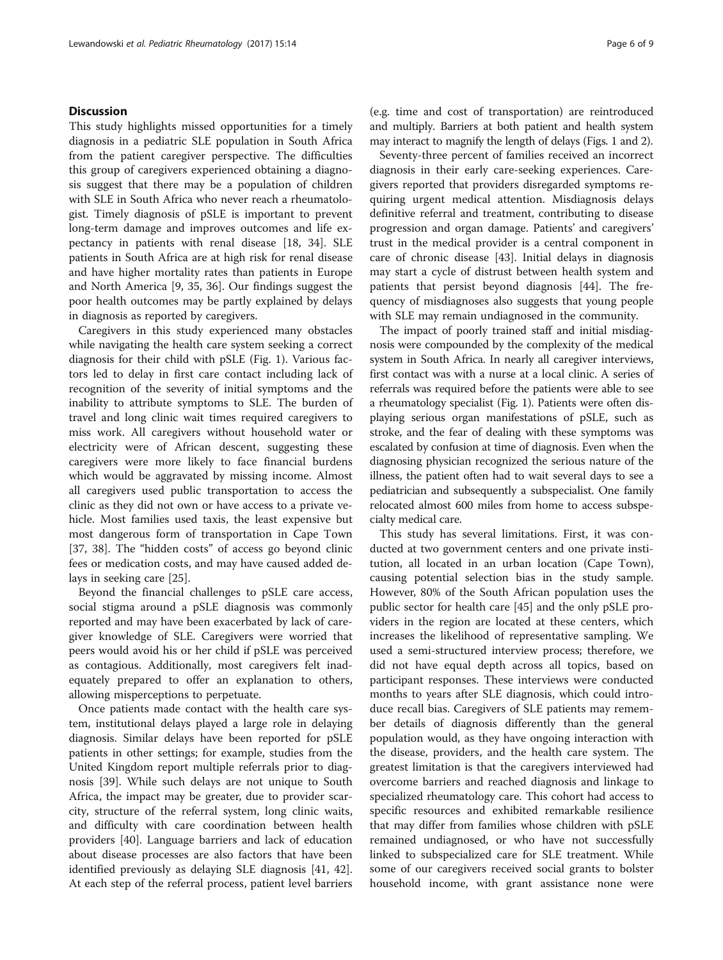# **Discussion**

This study highlights missed opportunities for a timely diagnosis in a pediatric SLE population in South Africa from the patient caregiver perspective. The difficulties this group of caregivers experienced obtaining a diagnosis suggest that there may be a population of children with SLE in South Africa who never reach a rheumatologist. Timely diagnosis of pSLE is important to prevent long-term damage and improves outcomes and life expectancy in patients with renal disease [\[18](#page-7-0), [34\]](#page-8-0). SLE patients in South Africa are at high risk for renal disease and have higher mortality rates than patients in Europe and North America [\[9](#page-7-0), [35, 36\]](#page-8-0). Our findings suggest the poor health outcomes may be partly explained by delays in diagnosis as reported by caregivers.

Caregivers in this study experienced many obstacles while navigating the health care system seeking a correct diagnosis for their child with pSLE (Fig. [1\)](#page-4-0). Various factors led to delay in first care contact including lack of recognition of the severity of initial symptoms and the inability to attribute symptoms to SLE. The burden of travel and long clinic wait times required caregivers to miss work. All caregivers without household water or electricity were of African descent, suggesting these caregivers were more likely to face financial burdens which would be aggravated by missing income. Almost all caregivers used public transportation to access the clinic as they did not own or have access to a private vehicle. Most families used taxis, the least expensive but most dangerous form of transportation in Cape Town [[37, 38\]](#page-8-0). The "hidden costs" of access go beyond clinic fees or medication costs, and may have caused added delays in seeking care [[25\]](#page-8-0).

Beyond the financial challenges to pSLE care access, social stigma around a pSLE diagnosis was commonly reported and may have been exacerbated by lack of caregiver knowledge of SLE. Caregivers were worried that peers would avoid his or her child if pSLE was perceived as contagious. Additionally, most caregivers felt inadequately prepared to offer an explanation to others, allowing misperceptions to perpetuate.

Once patients made contact with the health care system, institutional delays played a large role in delaying diagnosis. Similar delays have been reported for pSLE patients in other settings; for example, studies from the United Kingdom report multiple referrals prior to diagnosis [[39\]](#page-8-0). While such delays are not unique to South Africa, the impact may be greater, due to provider scarcity, structure of the referral system, long clinic waits, and difficulty with care coordination between health providers [[40\]](#page-8-0). Language barriers and lack of education about disease processes are also factors that have been identified previously as delaying SLE diagnosis [\[41](#page-8-0), [42](#page-8-0)]. At each step of the referral process, patient level barriers

(e.g. time and cost of transportation) are reintroduced and multiply. Barriers at both patient and health system may interact to magnify the length of delays (Figs. [1](#page-4-0) and [2](#page-6-0)).

Seventy-three percent of families received an incorrect diagnosis in their early care-seeking experiences. Caregivers reported that providers disregarded symptoms requiring urgent medical attention. Misdiagnosis delays definitive referral and treatment, contributing to disease progression and organ damage. Patients' and caregivers' trust in the medical provider is a central component in care of chronic disease [[43\]](#page-8-0). Initial delays in diagnosis may start a cycle of distrust between health system and patients that persist beyond diagnosis [\[44](#page-8-0)]. The frequency of misdiagnoses also suggests that young people with SLE may remain undiagnosed in the community.

The impact of poorly trained staff and initial misdiagnosis were compounded by the complexity of the medical system in South Africa. In nearly all caregiver interviews, first contact was with a nurse at a local clinic. A series of referrals was required before the patients were able to see a rheumatology specialist (Fig. [1\)](#page-4-0). Patients were often displaying serious organ manifestations of pSLE, such as stroke, and the fear of dealing with these symptoms was escalated by confusion at time of diagnosis. Even when the diagnosing physician recognized the serious nature of the illness, the patient often had to wait several days to see a pediatrician and subsequently a subspecialist. One family relocated almost 600 miles from home to access subspecialty medical care.

This study has several limitations. First, it was conducted at two government centers and one private institution, all located in an urban location (Cape Town), causing potential selection bias in the study sample. However, 80% of the South African population uses the public sector for health care [\[45](#page-8-0)] and the only pSLE providers in the region are located at these centers, which increases the likelihood of representative sampling. We used a semi-structured interview process; therefore, we did not have equal depth across all topics, based on participant responses. These interviews were conducted months to years after SLE diagnosis, which could introduce recall bias. Caregivers of SLE patients may remember details of diagnosis differently than the general population would, as they have ongoing interaction with the disease, providers, and the health care system. The greatest limitation is that the caregivers interviewed had overcome barriers and reached diagnosis and linkage to specialized rheumatology care. This cohort had access to specific resources and exhibited remarkable resilience that may differ from families whose children with pSLE remained undiagnosed, or who have not successfully linked to subspecialized care for SLE treatment. While some of our caregivers received social grants to bolster household income, with grant assistance none were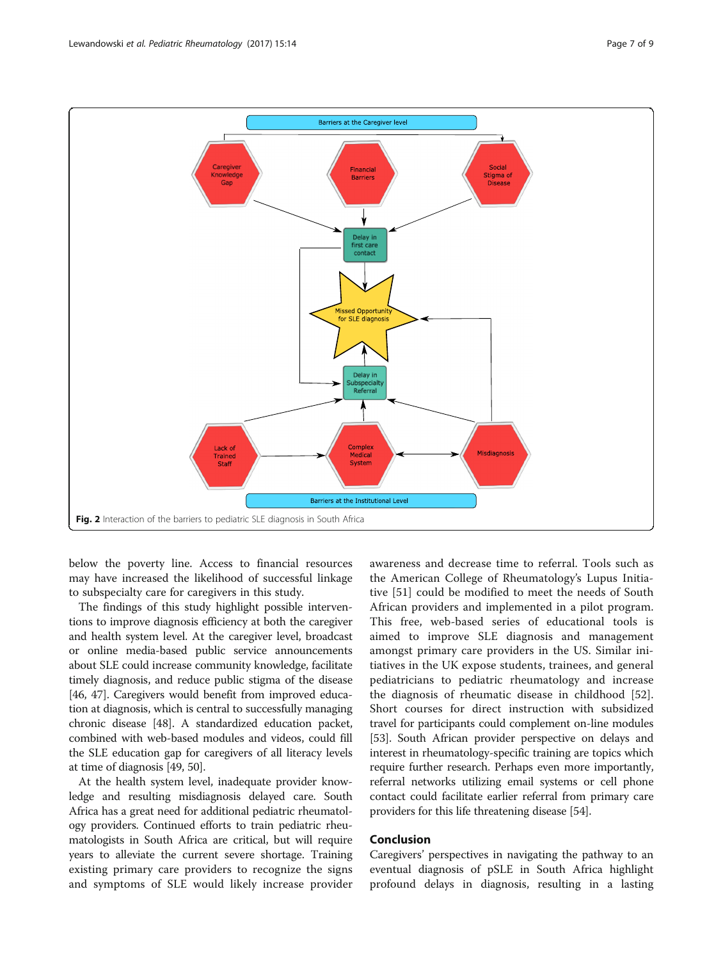<span id="page-6-0"></span>

below the poverty line. Access to financial resources may have increased the likelihood of successful linkage to subspecialty care for caregivers in this study.

The findings of this study highlight possible interventions to improve diagnosis efficiency at both the caregiver and health system level. At the caregiver level, broadcast or online media-based public service announcements about SLE could increase community knowledge, facilitate timely diagnosis, and reduce public stigma of the disease [[46](#page-8-0), [47\]](#page-8-0). Caregivers would benefit from improved education at diagnosis, which is central to successfully managing chronic disease [\[48\]](#page-8-0). A standardized education packet, combined with web-based modules and videos, could fill the SLE education gap for caregivers of all literacy levels at time of diagnosis [\[49, 50](#page-8-0)].

At the health system level, inadequate provider knowledge and resulting misdiagnosis delayed care. South Africa has a great need for additional pediatric rheumatology providers. Continued efforts to train pediatric rheumatologists in South Africa are critical, but will require years to alleviate the current severe shortage. Training existing primary care providers to recognize the signs and symptoms of SLE would likely increase provider awareness and decrease time to referral. Tools such as the American College of Rheumatology's Lupus Initiative [\[51](#page-8-0)] could be modified to meet the needs of South African providers and implemented in a pilot program. This free, web-based series of educational tools is aimed to improve SLE diagnosis and management amongst primary care providers in the US. Similar initiatives in the UK expose students, trainees, and general pediatricians to pediatric rheumatology and increase the diagnosis of rheumatic disease in childhood [\[52](#page-8-0)]. Short courses for direct instruction with subsidized travel for participants could complement on-line modules [[53](#page-8-0)]. South African provider perspective on delays and interest in rheumatology-specific training are topics which require further research. Perhaps even more importantly, referral networks utilizing email systems or cell phone contact could facilitate earlier referral from primary care providers for this life threatening disease [[54](#page-8-0)].

# Conclusion

Caregivers' perspectives in navigating the pathway to an eventual diagnosis of pSLE in South Africa highlight profound delays in diagnosis, resulting in a lasting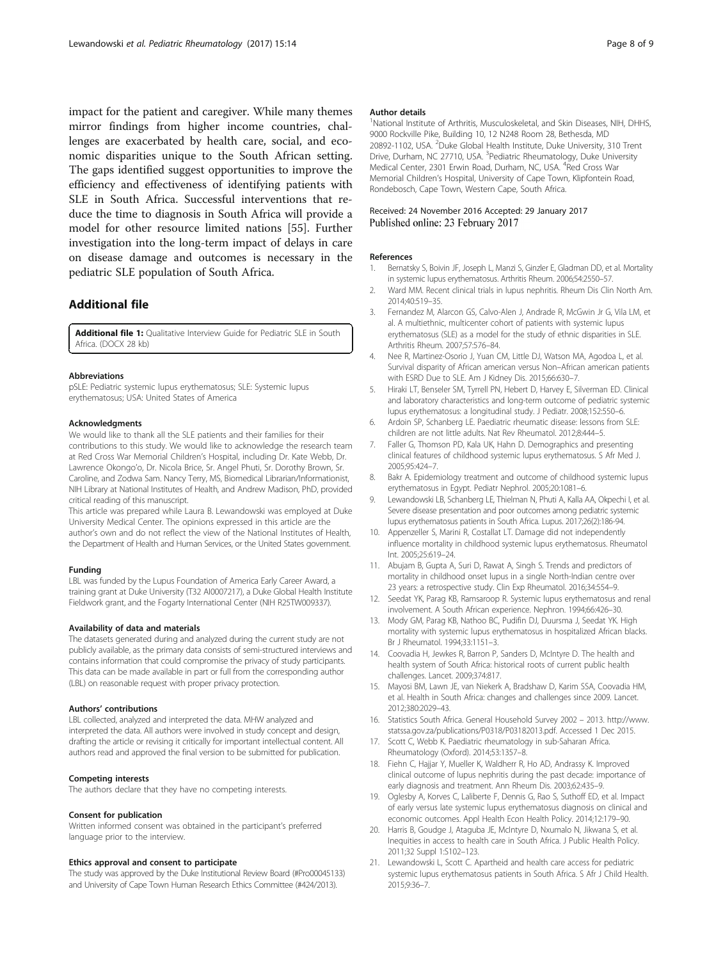<span id="page-7-0"></span>impact for the patient and caregiver. While many themes mirror findings from higher income countries, challenges are exacerbated by health care, social, and economic disparities unique to the South African setting. The gaps identified suggest opportunities to improve the efficiency and effectiveness of identifying patients with SLE in South Africa. Successful interventions that reduce the time to diagnosis in South Africa will provide a model for other resource limited nations [\[55\]](#page-8-0). Further investigation into the long-term impact of delays in care on disease damage and outcomes is necessary in the pediatric SLE population of South Africa.

# Additional file

[Additional file 1:](dx.doi.org/10.1186/s12969-017-0144-6) Qualitative Interview Guide for Pediatric SLE in South Africa. (DOCX 28 kb)

#### Abbreviations

pSLE: Pediatric systemic lupus erythematosus; SLE: Systemic lupus erythematosus; USA: United States of America

#### Acknowledgments

We would like to thank all the SLE patients and their families for their contributions to this study. We would like to acknowledge the research team at Red Cross War Memorial Children's Hospital, including Dr. Kate Webb, Dr. Lawrence Okongo'o, Dr. Nicola Brice, Sr. Angel Phuti, Sr. Dorothy Brown, Sr. Caroline, and Zodwa Sam. Nancy Terry, MS, Biomedical Librarian/Informationist, NIH Library at National Institutes of Health, and Andrew Madison, PhD, provided critical reading of this manuscript.

This article was prepared while Laura B. Lewandowski was employed at Duke University Medical Center. The opinions expressed in this article are the author's own and do not reflect the view of the National Institutes of Health, the Department of Health and Human Services, or the United States government.

#### Funding

LBL was funded by the Lupus Foundation of America Early Career Award, a training grant at Duke University (T32 AI0007217), a Duke Global Health Institute Fieldwork grant, and the Fogarty International Center (NIH R25TW009337).

#### Availability of data and materials

The datasets generated during and analyzed during the current study are not publicly available, as the primary data consists of semi-structured interviews and contains information that could compromise the privacy of study participants. This data can be made available in part or full from the corresponding author (LBL) on reasonable request with proper privacy protection.

#### Authors' contributions

LBL collected, analyzed and interpreted the data. MHW analyzed and interpreted the data. All authors were involved in study concept and design, drafting the article or revising it critically for important intellectual content. All authors read and approved the final version to be submitted for publication.

#### Competing interests

The authors declare that they have no competing interests.

#### Consent for publication

Written informed consent was obtained in the participant's preferred language prior to the interview.

#### Ethics approval and consent to participate

The study was approved by the Duke Institutional Review Board (#Pro00045133) and University of Cape Town Human Research Ethics Committee (#424/2013).

#### Author details

<sup>1</sup>National Institute of Arthritis, Musculoskeletal, and Skin Diseases, NIH, DHHS 9000 Rockville Pike, Building 10, 12 N248 Room 28, Bethesda, MD 20892-1102, USA. <sup>2</sup>Duke Global Health Institute, Duke University, 310 Trent Drive, Durham, NC 27710, USA. <sup>3</sup>Pediatric Rheumatology, Duke University Medical Center, 2301 Erwin Road, Durham, NC, USA. <sup>4</sup> Red Cross War Memorial Children's Hospital, University of Cape Town, Klipfontein Road, Rondebosch, Cape Town, Western Cape, South Africa.

#### Received: 24 November 2016 Accepted: 29 January 2017 Published online: 23 February 2017

#### References

- Bernatsky S, Boivin JF, Joseph L, Manzi S, Ginzler E, Gladman DD, et al. Mortality in systemic lupus erythematosus. Arthritis Rheum. 2006;54:2550–57.
- 2. Ward MM. Recent clinical trials in lupus nephritis. Rheum Dis Clin North Am. 2014;40:519–35.
- 3. Fernandez M, Alarcon GS, Calvo-Alen J, Andrade R, McGwin Jr G, Vila LM, et al. A multiethnic, multicenter cohort of patients with systemic lupus erythematosus (SLE) as a model for the study of ethnic disparities in SLE. Arthritis Rheum. 2007;57:576–84.
- 4. Nee R, Martinez-Osorio J, Yuan CM, Little DJ, Watson MA, Agodoa L, et al. Survival disparity of African american versus Non–African american patients with ESRD Due to SLE. Am J Kidney Dis. 2015;66:630–7.
- 5. Hiraki LT, Benseler SM, Tyrrell PN, Hebert D, Harvey E, Silverman ED. Clinical and laboratory characteristics and long-term outcome of pediatric systemic lupus erythematosus: a longitudinal study. J Pediatr. 2008;152:550–6.
- 6. Ardoin SP, Schanberg LE. Paediatric rheumatic disease: lessons from SLE: children are not little adults. Nat Rev Rheumatol. 2012;8:444–5.
- 7. Faller G, Thomson PD, Kala UK, Hahn D. Demographics and presenting clinical features of childhood systemic lupus erythematosus. S Afr Med J. 2005;95:424–7.
- 8. Bakr A. Epidemiology treatment and outcome of childhood systemic lupus erythematosus in Egypt. Pediatr Nephrol. 2005;20:1081–6.
- 9. Lewandowski LB, Schanberg LE, Thielman N, Phuti A, Kalla AA, Okpechi I, et al. Severe disease presentation and poor outcomes among pediatric systemic lupus erythematosus patients in South Africa. Lupus. 2017;26(2):186-94.
- 10. Appenzeller S, Marini R, Costallat LT. Damage did not independently influence mortality in childhood systemic lupus erythematosus. Rheumatol Int. 2005;25:619–24.
- 11. Abujam B, Gupta A, Suri D, Rawat A, Singh S. Trends and predictors of mortality in childhood onset lupus in a single North-Indian centre over 23 years: a retrospective study. Clin Exp Rheumatol. 2016;34:554–9.
- 12. Seedat YK, Parag KB, Ramsaroop R. Systemic lupus erythematosus and renal involvement. A South African experience. Nephron. 1994;66:426–30.
- 13. Mody GM, Parag KB, Nathoo BC, Pudifin DJ, Duursma J, Seedat YK. High mortality with systemic lupus erythematosus in hospitalized African blacks. Br J Rheumatol. 1994;33:1151–3.
- 14. Coovadia H, Jewkes R, Barron P, Sanders D, McIntyre D. The health and health system of South Africa: historical roots of current public health challenges. Lancet. 2009;374:817.
- 15. Mayosi BM, Lawn JE, van Niekerk A, Bradshaw D, Karim SSA, Coovadia HM, et al. Health in South Africa: changes and challenges since 2009. Lancet. 2012;380:2029–43.
- 16. Statistics South Africa. General Household Survey 2002 2013. [http://www.](http://www.statssa.gov.za/publications/P0318/P03182013.pdf) [statssa.gov.za/publications/P0318/P03182013.pdf](http://www.statssa.gov.za/publications/P0318/P03182013.pdf). Accessed 1 Dec 2015.
- 17. Scott C, Webb K. Paediatric rheumatology in sub-Saharan Africa. Rheumatology (Oxford). 2014;53:1357–8.
- 18. Fiehn C, Hajjar Y, Mueller K, Waldherr R, Ho AD, Andrassy K. Improved clinical outcome of lupus nephritis during the past decade: importance of early diagnosis and treatment. Ann Rheum Dis. 2003;62:435–9.
- 19. Oglesby A, Korves C, Laliberte F, Dennis G, Rao S, Suthoff ED, et al. Impact of early versus late systemic lupus erythematosus diagnosis on clinical and economic outcomes. Appl Health Econ Health Policy. 2014;12:179–90.
- 20. Harris B, Goudge J, Ataguba JE, McIntyre D, Nxumalo N, Jikwana S, et al. Inequities in access to health care in South Africa. J Public Health Policy. 2011;32 Suppl 1:S102–123.
- 21. Lewandowski L, Scott C. Apartheid and health care access for pediatric systemic lupus erythematosus patients in South Africa. S Afr J Child Health. 2015;9:36–7.